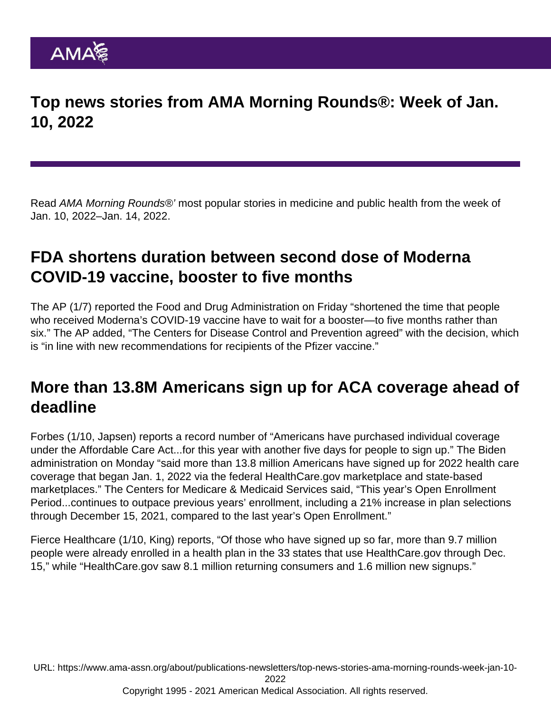Top news stories from AMA Morning Rounds®: Week of Jan. 10, 2022

Read AMA Morning Rounds®' most popular stories in medicine and public health from the week of Jan. 10, 2022–Jan. 14, 2022.

### FDA shortens duration between second dose of Moderna COVID-19 vaccine, booster to five months

The [AP](https://apnews.com/article/coronavirus-pandemic-health-coronavirus-vaccine-6feb990dea0ac8707e03c72aa528ffc2) (1/7) reported the Food and Drug Administration on Friday "shortened the time that people who received Moderna's COVID-19 vaccine have to wait for a booster—to five months rather than six." The AP added, "The Centers for Disease Control and Prevention agreed" with the decision, which is "in line with new recommendations for recipients of the Pfizer vaccine."

#### More than 13.8M Americans sign up for ACA coverage ahead of deadline

[Forbes](https://www.forbes.com/sites/brucejapsen/2022/01/10/obamacare-enrollment-up-21-to-a-record-138-million/) (1/10, Japsen) reports a record number of "Americans have purchased individual coverage under the Affordable Care Act...for this year with another five days for people to sign up." The Biden administration on Monday "said more than 13.8 million Americans have signed up for 2022 health care coverage that began Jan. 1, 2022 via the federal HealthCare.gov marketplace and state-based marketplaces." The Centers for Medicare & Medicaid Services said, "This year's Open Enrollment Period...continues to outpace previous years' enrollment, including a 21% increase in plan selections through December 15, 2021, compared to the last year's Open Enrollment."

[Fierce Healthcare](https://www.fiercehealthcare.com/payer/hhs-nearly-14-million-people-enroll-aca-s-exchanges-ahead-jan-15-deadline) (1/10, King) reports, "Of those who have signed up so far, more than 9.7 million people were already enrolled in a health plan in the 33 states that use HealthCare.gov through Dec. 15," while "HealthCare.gov saw 8.1 million returning consumers and 1.6 million new signups."

URL: [https://www.ama-assn.org/about/publications-newsletters/top-news-stories-ama-morning-rounds-week-jan-10-](https://www.ama-assn.org/about/publications-newsletters/top-news-stories-ama-morning-rounds-week-jan-10-2022)

[2022](https://www.ama-assn.org/about/publications-newsletters/top-news-stories-ama-morning-rounds-week-jan-10-2022)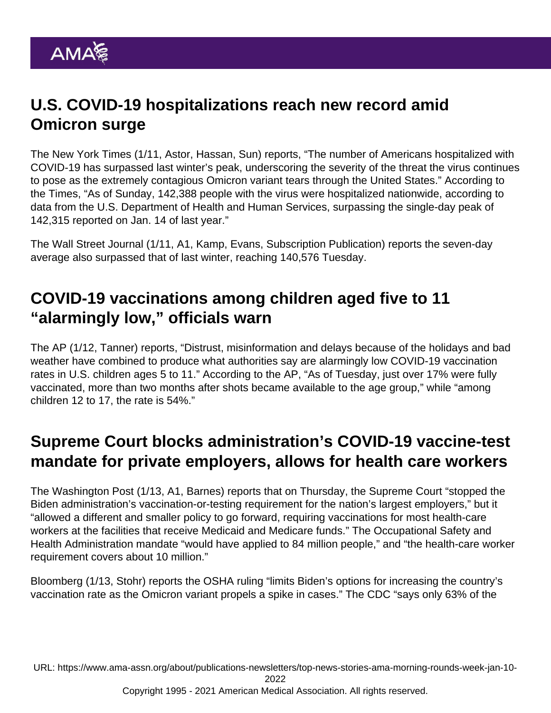# U.S. COVID-19 hospitalizations reach new record amid Omicron surge

The [New York Times](https://www.nytimes.com/2022/01/11/us/us-hospitalizations-surge-omicron.html) (1/11, Astor, Hassan, Sun) reports, "The number of Americans hospitalized with COVID-19 has surpassed last winter's peak, underscoring the severity of the threat the virus continues to pose as the extremely contagious Omicron variant tears through the United States." According to the Times, "As of Sunday, 142,388 people with the virus were hospitalized nationwide, according to data from the U.S. Department of Health and Human Services, surpassing the single-day peak of 142,315 reported on Jan. 14 of last year."

The [Wall Street Journal](https://www.wsj.com/articles/covid-19-hospitalizations-reported-in-u-s-hit-new-high-11641924596) (1/11, A1, Kamp, Evans, Subscription Publication) reports the seven-day average also surpassed that of last winter, reaching 140,576 Tuesday.

### COVID-19 vaccinations among children aged five to 11 "alarmingly low," officials warn

The [AP](https://apnews.com/article/kids-low-covid-vaccine-rate-impact-a3f24f27f39ab198755eff8f8e0e5493) (1/12, Tanner) reports, "Distrust, misinformation and delays because of the holidays and bad weather have combined to produce what authorities say are alarmingly low COVID-19 vaccination rates in U.S. children ages 5 to 11." According to the AP, "As of Tuesday, just over 17% were fully vaccinated, more than two months after shots became available to the age group," while "among children 12 to 17, the rate is 54%."

## Supreme Court blocks administration's COVID-19 vaccine-test mandate for private employers, allows for health care workers

The [Washington Post](https://www.washingtonpost.com/politics/courts_law/supreme-court-biden-vaccine-rules/2022/01/13/2e6e4b9e-749e-11ec-bc13-18891499c514_story.html) (1/13, A1, Barnes) reports that on Thursday, the Supreme Court "stopped the Biden administration's vaccination-or-testing requirement for the nation's largest employers," but it "allowed a different and smaller policy to go forward, requiring vaccinations for most health-care workers at the facilities that receive Medicaid and Medicare funds." The Occupational Safety and Health Administration mandate "would have applied to 84 million people," and "the health-care worker requirement covers about 10 million."

[Bloomberg](https://www.bloomberg.com/news/articles/2022-01-13/supreme-court-halts-osha-rule-that-covered-80-million-workers?srnd=premium) (1/13, Stohr) reports the OSHA ruling "limits Biden's options for increasing the country's vaccination rate as the Omicron variant propels a spike in cases." The CDC "says only 63% of the

URL: [https://www.ama-assn.org/about/publications-newsletters/top-news-stories-ama-morning-rounds-week-jan-10-](https://www.ama-assn.org/about/publications-newsletters/top-news-stories-ama-morning-rounds-week-jan-10-2022)

[2022](https://www.ama-assn.org/about/publications-newsletters/top-news-stories-ama-morning-rounds-week-jan-10-2022)